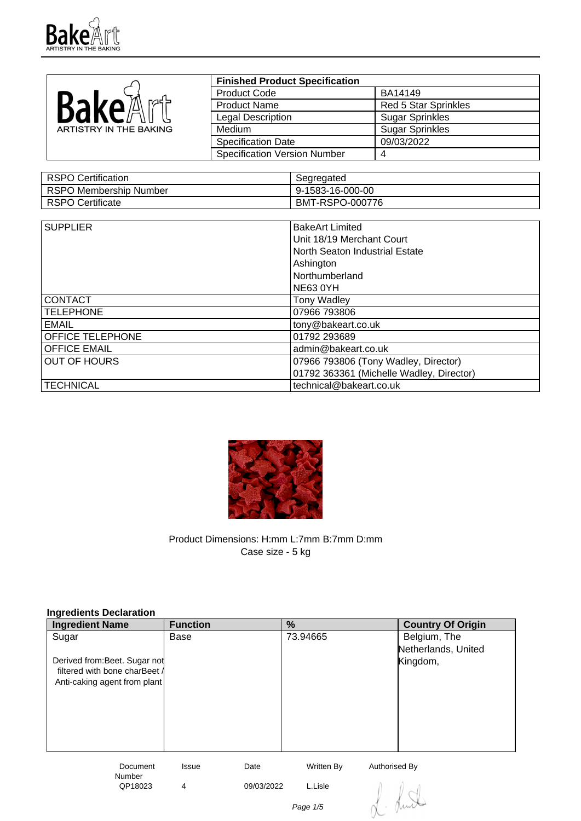

|                        | <b>Finished Product Specification</b> |                             |
|------------------------|---------------------------------------|-----------------------------|
|                        | <b>Product Code</b>                   | BA14149                     |
| Bake<br>md 5           | <b>Product Name</b>                   | <b>Red 5 Star Sprinkles</b> |
|                        | <b>Legal Description</b>              | <b>Sugar Sprinkles</b>      |
| ARTISTRY IN THE BAKING | Medium                                | <b>Sugar Sprinkles</b>      |
|                        | <b>Specification Date</b>             | 09/03/2022                  |
|                        | <b>Specification Version Number</b>   |                             |

| RSPO Certification            | Segregated       |
|-------------------------------|------------------|
| <b>RSPO Membership Number</b> | 9-1583-16-000-00 |
| RSPO Certificate              | BMT-RSPO-000776  |

| <b>SUPPLIER</b>         | <b>BakeArt Limited</b>                   |
|-------------------------|------------------------------------------|
|                         | Unit 18/19 Merchant Court                |
|                         | North Seaton Industrial Estate           |
|                         | Ashington                                |
|                         | Northumberland                           |
|                         | <b>NE63 0YH</b>                          |
| <b>CONTACT</b>          | <b>Tony Wadley</b>                       |
| <b>TELEPHONE</b>        | 07966 793806                             |
| <b>EMAIL</b>            | tony@bakeart.co.uk                       |
| <b>OFFICE TELEPHONE</b> | 01792 293689                             |
| <b>OFFICE EMAIL</b>     | admin@bakeart.co.uk                      |
| <b>OUT OF HOURS</b>     | 07966 793806 (Tony Wadley, Director)     |
|                         | 01792 363361 (Michelle Wadley, Director) |
| <b>TECHNICAL</b>        | technical@bakeart.co.uk                  |



Product Dimensions: H:mm L:7mm B:7mm D:mm Case size - 5 kg

| Ingredients Declaration       |                 |            |            |                          |
|-------------------------------|-----------------|------------|------------|--------------------------|
| <b>Ingredient Name</b>        | <b>Function</b> |            | %          | <b>Country Of Origin</b> |
| Sugar                         | Base            |            | 73.94665   | Belgium, The             |
|                               |                 |            |            | Netherlands, United      |
| Derived from: Beet. Sugar not |                 |            |            | Kingdom,                 |
| filtered with bone charBeet A |                 |            |            |                          |
| Anti-caking agent from plant  |                 |            |            |                          |
|                               |                 |            |            |                          |
|                               |                 |            |            |                          |
|                               |                 |            |            |                          |
|                               |                 |            |            |                          |
|                               |                 |            |            |                          |
| Document                      | Issue           | Date       | Written By | Authorised By            |
| Number                        |                 |            |            |                          |
| QP18023                       | 4               | 09/03/2022 | L.Lisle    |                          |
|                               |                 |            | Page 1/5   |                          |
|                               |                 |            |            |                          |

## **Ingredients Declaration**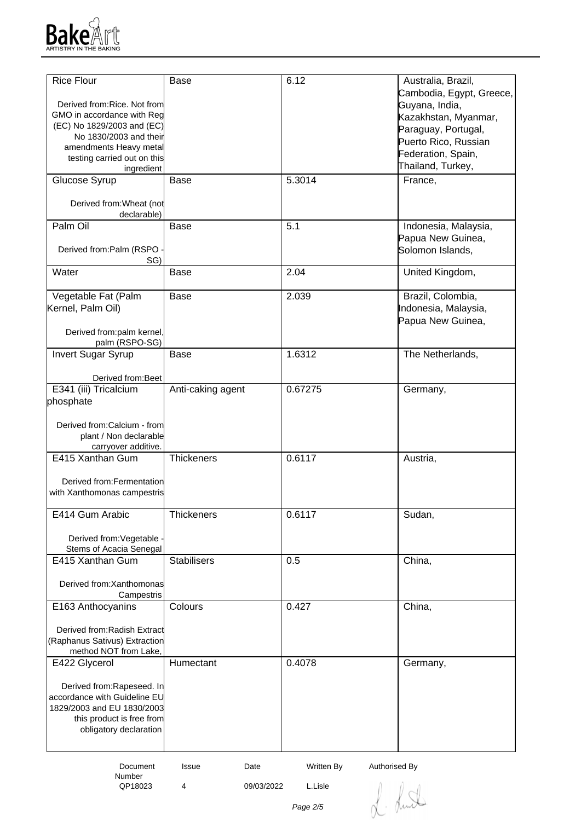

| <b>Rice Flour</b>                                     | <b>Base</b>        | 6.12                        | Australia, Brazil,       |
|-------------------------------------------------------|--------------------|-----------------------------|--------------------------|
|                                                       |                    |                             | Cambodia, Egypt, Greece, |
| Derived from: Rice. Not from                          |                    |                             | Guyana, India,           |
| GMO in accordance with Reg                            |                    |                             | Kazakhstan, Myanmar,     |
| (EC) No 1829/2003 and (EC)                            |                    |                             | Paraguay, Portugal,      |
| No 1830/2003 and their                                |                    |                             | Puerto Rico, Russian     |
| amendments Heavy metal                                |                    |                             | Federation, Spain,       |
| testing carried out on this                           |                    |                             | Thailand, Turkey,        |
| ingredient                                            |                    |                             |                          |
| Glucose Syrup                                         | <b>Base</b>        | 5.3014                      | France,                  |
| Derived from: Wheat (not                              |                    |                             |                          |
| declarable)                                           |                    |                             |                          |
| Palm Oil                                              | <b>Base</b>        | 5.1                         | Indonesia, Malaysia,     |
|                                                       |                    |                             | Papua New Guinea,        |
| Derived from:Palm (RSPO                               |                    |                             | Solomon Islands,         |
| SG)                                                   |                    |                             |                          |
| Water                                                 | Base               | 2.04                        | United Kingdom,          |
|                                                       |                    |                             |                          |
| Vegetable Fat (Palm                                   | <b>Base</b>        | 2.039                       | Brazil, Colombia,        |
| Kernel, Palm Oil)                                     |                    |                             | Indonesia, Malaysia,     |
|                                                       |                    |                             | Papua New Guinea,        |
| Derived from:palm kernel,                             |                    |                             |                          |
| palm (RSPO-SG)                                        |                    |                             |                          |
| <b>Invert Sugar Syrup</b>                             | <b>Base</b>        | 1.6312                      | The Netherlands,         |
|                                                       |                    |                             |                          |
| Derived from: Beet                                    |                    |                             |                          |
| E341 (iii) Tricalcium                                 | Anti-caking agent  | 0.67275                     | Germany,                 |
| phosphate                                             |                    |                             |                          |
|                                                       |                    |                             |                          |
| Derived from:Calcium - from<br>plant / Non declarable |                    |                             |                          |
| carryover additive.                                   |                    |                             |                          |
| E415 Xanthan Gum                                      | <b>Thickeners</b>  | 0.6117                      | Austria,                 |
|                                                       |                    |                             |                          |
| Derived from: Fermentation                            |                    |                             |                          |
| with Xanthomonas campestris                           |                    |                             |                          |
|                                                       |                    |                             |                          |
| E414 Gum Arabic                                       | Thickeners         | 0.6117                      | Sudan,                   |
|                                                       |                    |                             |                          |
| Derived from: Vegetable                               |                    |                             |                          |
| Stems of Acacia Senegal                               |                    |                             |                          |
| E415 Xanthan Gum                                      | <b>Stabilisers</b> | 0.5                         | China,                   |
|                                                       |                    |                             |                          |
| Derived from: Xanthomonas                             |                    |                             |                          |
| Campestris<br>E163 Anthocyanins                       | Colours            | 0.427                       | China,                   |
|                                                       |                    |                             |                          |
| Derived from: Radish Extract                          |                    |                             |                          |
| (Raphanus Sativus) Extraction                         |                    |                             |                          |
| method NOT from Lake,                                 |                    |                             |                          |
| E422 Glycerol                                         | Humectant          | 0.4078                      | Germany,                 |
|                                                       |                    |                             |                          |
| Derived from:Rapeseed. In                             |                    |                             |                          |
| accordance with Guideline EU                          |                    |                             |                          |
| 1829/2003 and EU 1830/2003                            |                    |                             |                          |
| this product is free from                             |                    |                             |                          |
| obligatory declaration                                |                    |                             |                          |
|                                                       |                    |                             |                          |
|                                                       |                    |                             |                          |
| Document                                              | Date<br>Issue      | Written By<br>Authorised By |                          |

 Document Number<br>QP18023

QP18023 4 09/03/2022 L.Lisle

L. Lund

Page 2/5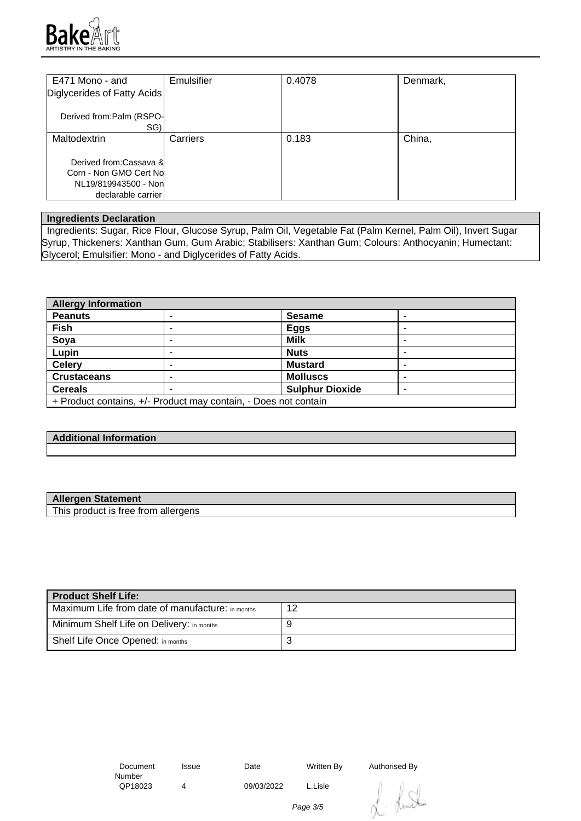

| E471 Mono - and                                                                                | Emulsifier | 0.4078 | Denmark, |
|------------------------------------------------------------------------------------------------|------------|--------|----------|
| Diglycerides of Fatty Acids                                                                    |            |        |          |
| Derived from:Palm (RSPO-<br>SG)                                                                |            |        |          |
| Maltodextrin                                                                                   | Carriers   | 0.183  | China,   |
| Derived from:Cassava &<br>Corn - Non GMO Cert No<br>NL19/819943500 - Non<br>declarable carrier |            |        |          |

## **Ingredients Declaration**

 Ingredients: Sugar, Rice Flour, Glucose Syrup, Palm Oil, Vegetable Fat (Palm Kernel, Palm Oil), Invert Sugar Syrup, Thickeners: Xanthan Gum, Gum Arabic; Stabilisers: Xanthan Gum; Colours: Anthocyanin; Humectant: Glycerol; Emulsifier: Mono - and Diglycerides of Fatty Acids.

| <b>Allergy Information</b> |                                                                 |                        |  |
|----------------------------|-----------------------------------------------------------------|------------------------|--|
| <b>Peanuts</b>             |                                                                 | <b>Sesame</b>          |  |
| Fish                       | -                                                               | <b>Eggs</b>            |  |
| Soya                       |                                                                 | <b>Milk</b>            |  |
| Lupin                      |                                                                 | <b>Nuts</b>            |  |
| <b>Celery</b>              |                                                                 | <b>Mustard</b>         |  |
| <b>Crustaceans</b>         |                                                                 | <b>Molluscs</b>        |  |
| <b>Cereals</b>             |                                                                 | <b>Sulphur Dioxide</b> |  |
|                            | + Product contains, +/- Product may contain, - Does not contain |                        |  |

## **Additional Information**

| <b>Allergen Statement</b>           |  |
|-------------------------------------|--|
| This product is free from allergens |  |

| Product Shelf Life:                              |    |
|--------------------------------------------------|----|
| Maximum Life from date of manufacture: in months | 12 |
| Minimum Shelf Life on Delivery: in months        |    |
| Shelf Life Once Opened: in months                | ◡  |

| Document |  |
|----------|--|
| Number   |  |
| QP18023  |  |

QP18023 4 09/03/2022 L.Lisle

Issue Date Written By Authorised By

huit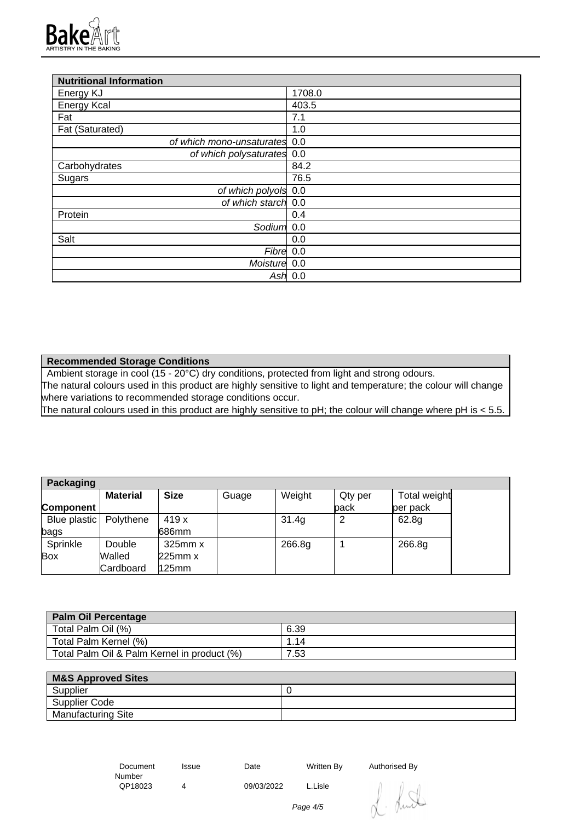

| <b>Nutritional Information</b> |           |
|--------------------------------|-----------|
| Energy KJ                      | 1708.0    |
| <b>Energy Kcal</b>             | 403.5     |
| Fat                            | 7.1       |
| Fat (Saturated)                | 1.0       |
| of which mono-unsaturates 0.0  |           |
| of which polysaturates 0.0     |           |
| Carbohydrates                  | 84.2      |
| Sugars                         | 76.5      |
| of which polyols 0.0           |           |
| of which starch 0.0            |           |
| Protein                        | 0.4       |
| Sodium                         | 0.0       |
| Salt                           | 0.0       |
| Fibre 0.0                      |           |
| Moisture 0.0                   |           |
|                                | Ash $0.0$ |

**Recommended Storage Conditions**

Ambient storage in cool (15 - 20°C) dry conditions, protected from light and strong odours. The natural colours used in this product are highly sensitive to light and temperature; the colour will change where variations to recommended storage conditions occur.

The natural colours used in this product are highly sensitive to pH; the colour will change where pH is < 5.5.

| Packaging                |                 |              |       |        |         |              |
|--------------------------|-----------------|--------------|-------|--------|---------|--------------|
|                          | <b>Material</b> | <b>Size</b>  | Guage | Weight | Qty per | Total weight |
| Component                |                 |              |       |        | back    | per pack     |
| Blue plastic   Polythene |                 | 419 x        |       | 31.4g  | 2       | 62.8g        |
| bags                     |                 | 686mm        |       |        |         |              |
| Sprinkle                 | Double          | $325$ mm $x$ |       | 266.8g |         | 266.8g       |
| <b>Box</b>               | Walled          | 225mm x      |       |        |         |              |
|                          | Cardboard       | $125$ mm     |       |        |         |              |

| <b>Palm Oil Percentage</b>                  |      |
|---------------------------------------------|------|
| Total Palm Oil (%)                          | 6.39 |
| Total Palm Kernel (%)                       | .14  |
| Total Palm Oil & Palm Kernel in product (%) | 7.53 |

| <b>M&amp;S Approved Sites</b> |  |
|-------------------------------|--|
| Supplier                      |  |
| Supplier Code                 |  |
| <b>Manufacturing Site</b>     |  |

 Document Number<br>QP18023 Issue Date Written By Authorised By QP18023 4 09/03/2022 L.Lisle

Page 4/5